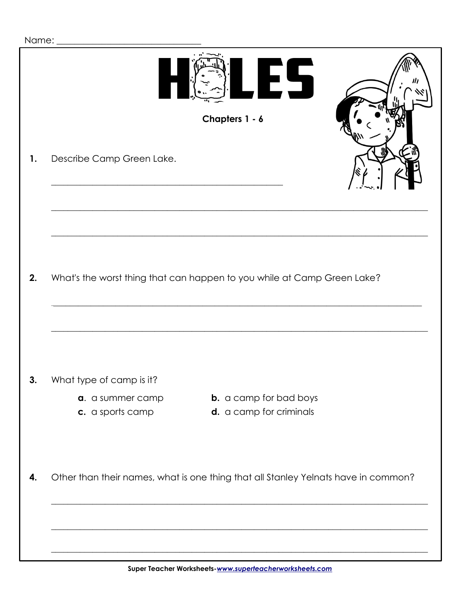|  | Name: |
|--|-------|
|  |       |

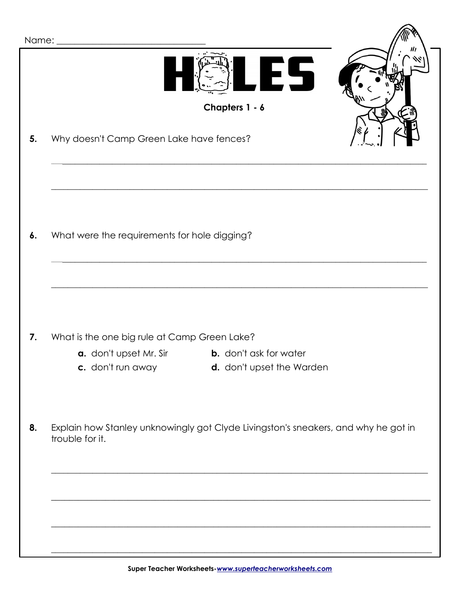| Name: |                                                                                                       |  |  |
|-------|-------------------------------------------------------------------------------------------------------|--|--|
|       | ES<br>Chapters 1 - 6                                                                                  |  |  |
|       |                                                                                                       |  |  |
| 5.    | Why doesn't Camp Green Lake have fences?                                                              |  |  |
|       |                                                                                                       |  |  |
|       |                                                                                                       |  |  |
|       |                                                                                                       |  |  |
| 6.    | What were the requirements for hole digging?                                                          |  |  |
|       |                                                                                                       |  |  |
|       |                                                                                                       |  |  |
|       |                                                                                                       |  |  |
|       |                                                                                                       |  |  |
| 7.    | What is the one big rule at Camp Green Lake?                                                          |  |  |
|       | <b>b.</b> don't ask for water<br><b>a.</b> don't upset Mr. Sir                                        |  |  |
|       | c. don't run away<br>d. don't upset the Warden                                                        |  |  |
|       |                                                                                                       |  |  |
|       |                                                                                                       |  |  |
| 8.    | Explain how Stanley unknowingly got Clyde Livingston's sneakers, and why he got in<br>trouble for it. |  |  |
|       |                                                                                                       |  |  |
|       |                                                                                                       |  |  |
|       |                                                                                                       |  |  |
|       |                                                                                                       |  |  |
|       |                                                                                                       |  |  |
|       |                                                                                                       |  |  |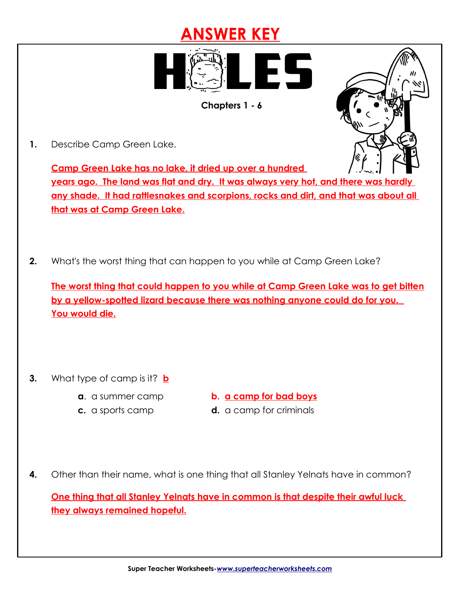## **ANSWER KEY**



 **Chapters 1 - 6**

 **1.** Describe Camp Green Lake.

**Camp Green Lake has no lake, it dried up over a hundred** 

**years ago. The land was flat and dry. It was always very hot, and there was hardly any shade. It had rattlesnakes and scorpions, rocks and dirt, and that was about all that was at Camp Green Lake.**

 **2.** What's the worst thing that can happen to you while at Camp Green Lake?

**The worst thing that could happen to you while at Camp Green Lake was to get bitten by a yellow-spotted lizard because there was nothing anyone could do for you. You would die.**

- **3.** What type of camp is it? **b**
	-
	- **a**. a summer camp **b. <u>a camp for bad boys</u>**
	- **c.** a sports camp **d.** a camp for criminals
- **4.** Other than their name, what is one thing that all Stanley Yelnats have in common?

**One thing that all Stanley Yelnats have in common is that despite their awful luck they always remained hopeful.**